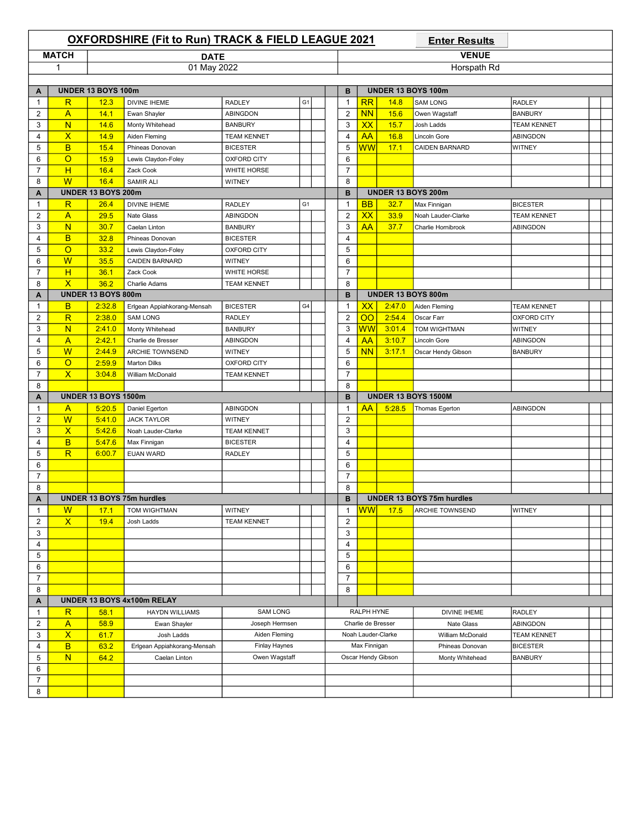|                           |                         |                            | <b>OXFORDSHIRE (Fit to Run) TRACK &amp; FIELD LEAGUE 2021</b> |                    |                |  |                  |                      |                    | <b>Enter Results</b>       |                    |  |
|---------------------------|-------------------------|----------------------------|---------------------------------------------------------------|--------------------|----------------|--|------------------|----------------------|--------------------|----------------------------|--------------------|--|
|                           | <b>MATCH</b>            |                            | <b>DATE</b>                                                   |                    |                |  |                  |                      |                    | <b>VENUE</b>               |                    |  |
|                           | 1                       |                            | 01 May 2022                                                   |                    |                |  |                  |                      |                    | Horspath Rd                |                    |  |
|                           |                         |                            |                                                               |                    |                |  |                  |                      |                    |                            |                    |  |
| A                         |                         | UNDER 13 BOYS 100m         |                                                               |                    |                |  | в                |                      |                    | UNDER 13 BOYS 100m         |                    |  |
| $\mathbf{1}$              | $\mathsf R$             | 12.3                       | <b>DIVINE IHEME</b>                                           | <b>RADLEY</b>      | G <sub>1</sub> |  | $\mathbf{1}$     | RR                   | 14.8               | <b>SAM LONG</b>            | <b>RADLEY</b>      |  |
| $\overline{\mathbf{c}}$   | $\mathsf{A}$            | 14.1                       | Ewan Shayler                                                  | <b>ABINGDON</b>    |                |  | 2                | <b>NN</b>            | 15.6               | Owen Wagstaff              | <b>BANBURY</b>     |  |
| 3                         | N                       | 14.6                       | Monty Whitehead                                               | <b>BANBURY</b>     |                |  | 3                | XX                   | 15.7               | Josh Ladds                 | <b>TEAM KENNET</b> |  |
| 4                         | $\overline{\mathsf{x}}$ | 14.9                       | Aiden Fleming                                                 | <b>TEAM KENNET</b> |                |  | $\overline{4}$   | <b>AA</b>            | 16.8               | Lincoln Gore               | ABINGDON           |  |
| 5                         | B                       | 15.4                       | Phineas Donovan                                               | <b>BICESTER</b>    |                |  | 5                | WW                   | 17.1               | <b>CAIDEN BARNARD</b>      | WITNEY             |  |
| 6                         | $\circ$                 | 15.9                       | Lewis Claydon-Foley                                           | <b>OXFORD CITY</b> |                |  | 6                |                      |                    |                            |                    |  |
| 7                         | H                       | 16.4                       | Zack Cook                                                     | WHITE HORSE        |                |  | $\boldsymbol{7}$ |                      |                    |                            |                    |  |
| 8                         | W                       | 16.4                       | <b>SAMIR ALI</b>                                              | <b>WITNEY</b>      |                |  | 8                |                      |                    |                            |                    |  |
| A                         |                         | UNDER 13 BOYS 200m         |                                                               |                    |                |  | B                |                      |                    | UNDER 13 BOYS 200m         |                    |  |
| $\mathbf{1}$              | R                       | 26.4                       | <b>DIVINE IHEME</b>                                           | <b>RADLEY</b>      | G <sub>1</sub> |  | $\mathbf{1}$     | BB                   | 32.7               | Max Finnigan               | <b>BICESTER</b>    |  |
| $\overline{2}$            | A                       | 29.5                       | Nate Glass                                                    | ABINGDON           |                |  | $\overline{2}$   | XX                   | 33.9               | Noah Lauder-Clarke         | <b>TEAM KENNET</b> |  |
| 3                         | N                       | 30.7                       | Caelan Linton                                                 | <b>BANBURY</b>     |                |  | 3                | AA                   | 37.7               | Charlie Hornibrook         | ABINGDON           |  |
| 4                         | B                       | 32.8                       | Phineas Donovan                                               | <b>BICESTER</b>    |                |  | $\overline{4}$   |                      |                    |                            |                    |  |
| 5                         | $\circ$                 | 33.2                       | Lewis Claydon-Foley                                           | <b>OXFORD CITY</b> |                |  | 5                |                      |                    |                            |                    |  |
| 6                         | $\overline{\mathsf{W}}$ | 35.5                       | <b>CAIDEN BARNARD</b>                                         | WITNEY             |                |  | 6                |                      |                    |                            |                    |  |
| $\overline{7}$            | H                       | 36.1                       | Zack Cook                                                     | WHITE HORSE        |                |  | $\overline{7}$   |                      |                    |                            |                    |  |
| 8                         | $\overline{\mathsf{x}}$ | 36.2                       | Charlie Adams                                                 | <b>TEAM KENNET</b> |                |  | 8                |                      |                    |                            |                    |  |
| A                         |                         | UNDER 13 BOYS 800m         |                                                               |                    |                |  | B                |                      | UNDER 13 BOYS 800m |                            |                    |  |
| $\mathbf{1}$              | в                       | 2:32.8                     | Erlgean Appiahkorang-Mensah                                   | <b>BICESTER</b>    | G4             |  | $\mathbf{1}$     | XХ                   | 2:47.0             | Aiden Fleming              | <b>TEAM KENNET</b> |  |
| $\overline{2}$            | $\overline{\mathsf{R}}$ | 2:38.0                     | <b>SAM LONG</b>                                               | <b>RADLEY</b>      |                |  | $\overline{2}$   | $\overline{\rm{OO}}$ | 2:54.4             | Oscar Farr                 | OXFORD CITY        |  |
| 3                         | N                       | 2:41.0                     | Monty Whitehead                                               | <b>BANBURY</b>     |                |  | 3                | WW                   | 3:01.4             | TOM WIGHTMAN               | <b>WITNEY</b>      |  |
| 4                         | A                       | 2:42.1                     | Charlie de Bresser                                            | ABINGDON           |                |  | 4                | AA                   | 3:10.7             | Lincoln Gore               | ABINGDON           |  |
| 5                         | W                       | 2:44.9                     | ARCHIE TOWNSEND                                               | WITNEY             |                |  | 5                | <b>NN</b>            | 3:17.1             | Oscar Hendy Gibson         | <b>BANBURY</b>     |  |
| 6                         | $\circ$                 | 2:59.9                     | <b>Marton Dilks</b>                                           | <b>OXFORD CITY</b> |                |  | 6                |                      |                    |                            |                    |  |
| $\overline{7}$            | $\overline{\mathsf{x}}$ | 3:04.8                     | William McDonald                                              | <b>TEAM KENNET</b> |                |  | $\overline{7}$   |                      |                    |                            |                    |  |
| 8                         |                         |                            |                                                               |                    |                |  | 8                |                      |                    |                            |                    |  |
| A                         |                         | <b>UNDER 13 BOYS 1500m</b> |                                                               |                    |                |  | B                |                      |                    | <b>UNDER 13 BOYS 1500M</b> |                    |  |
| 1                         | A                       | 5:20.5                     | Daniel Egerton                                                | ABINGDON           |                |  | $\mathbf{1}$     | AA                   | 5:28.5             | Thomas Egerton             | ABINGDON           |  |
| $\overline{2}$            | W                       | 5:41.0                     | <b>JACK TAYLOR</b>                                            | WITNEY             |                |  | $\overline{2}$   |                      |                    |                            |                    |  |
| 3                         | $\overline{\mathsf{x}}$ | 5:42.6                     | Noah Lauder-Clarke                                            | <b>TEAM KENNET</b> |                |  | 3                |                      |                    |                            |                    |  |
| 4                         | B                       | 5:47.6                     | Max Finnigan                                                  | <b>BICESTER</b>    |                |  | $\overline{4}$   |                      |                    |                            |                    |  |
| 5                         | $\overline{\mathsf{R}}$ | 6:00.7                     | <b>EUAN WARD</b>                                              | <b>RADLEY</b>      |                |  | 5                |                      |                    |                            |                    |  |
| 6                         |                         |                            |                                                               |                    |                |  | 6                |                      |                    |                            |                    |  |
| $\overline{7}$            |                         |                            |                                                               |                    |                |  | $\overline{7}$   |                      |                    |                            |                    |  |
| 8                         |                         |                            |                                                               |                    |                |  | 8                |                      |                    |                            |                    |  |
| $\boldsymbol{\mathsf{A}}$ |                         |                            | <b>UNDER 13 BOYS 75m hurdles</b>                              |                    |                |  | В                |                      |                    | UNDER 13 BOYS 75m hurdles  |                    |  |
| $\mathbf{1}$              | W                       | 17.1                       | TOM WIGHTMAN                                                  | <b>WITNEY</b>      |                |  | $\mathbf{1}$     | <b>WW</b>            | 17.5               | ARCHIE TOWNSEND            | WITNEY             |  |
| $\overline{2}$            | $\overline{\mathsf{x}}$ | 19.4                       | Josh Ladds                                                    | <b>TEAM KENNET</b> |                |  | $\mathbf{2}$     |                      |                    |                            |                    |  |
| 3                         |                         |                            |                                                               |                    |                |  | 3                |                      |                    |                            |                    |  |
| 4                         |                         |                            |                                                               |                    |                |  | 4                |                      |                    |                            |                    |  |
| 5                         |                         |                            |                                                               |                    |                |  | 5                |                      |                    |                            |                    |  |
| 6                         |                         |                            |                                                               |                    |                |  | 6                |                      |                    |                            |                    |  |
| $\overline{7}$            |                         |                            |                                                               |                    |                |  | $\overline{7}$   |                      |                    |                            |                    |  |
| 8                         |                         |                            |                                                               |                    |                |  | 8                |                      |                    |                            |                    |  |
| Α                         |                         |                            | UNDER 13 BOYS 4x100m RELAY                                    |                    |                |  |                  |                      |                    |                            |                    |  |
| $\mathbf{1}$              | $\mathsf R$             | 58.1                       | <b>HAYDN WILLIAMS</b>                                         | <b>SAM LONG</b>    |                |  |                  | RALPH HYNE           |                    | DIVINE IHEME               | <b>RADLEY</b>      |  |
| $\overline{\mathbf{c}}$   | $\mathsf{A}$            | 58.9                       | Ewan Shayler                                                  | Joseph Hermsen     |                |  |                  | Charlie de Bresser   |                    | Nate Glass                 | ABINGDON           |  |
| 3                         | $\overline{\mathsf{x}}$ | 61.7                       | Josh Ladds                                                    | Aiden Fleming      |                |  |                  |                      | Noah Lauder-Clarke | William McDonald           | <b>TEAM KENNET</b> |  |
| 4                         | B                       | 63.2                       | Erlgean Appiahkorang-Mensah                                   | Finlay Haynes      |                |  |                  | Max Finnigan         |                    | Phineas Donovan            | <b>BICESTER</b>    |  |
| 5                         | N                       | 64.2                       | Caelan Linton                                                 | Owen Wagstaff      |                |  |                  |                      | Oscar Hendy Gibson | Monty Whitehead            | <b>BANBURY</b>     |  |
| 6                         |                         |                            |                                                               |                    |                |  |                  |                      |                    |                            |                    |  |
| $\boldsymbol{7}$          |                         |                            |                                                               |                    |                |  |                  |                      |                    |                            |                    |  |
|                           |                         |                            |                                                               |                    |                |  |                  |                      |                    |                            |                    |  |
| 8                         |                         |                            |                                                               |                    |                |  |                  |                      |                    |                            |                    |  |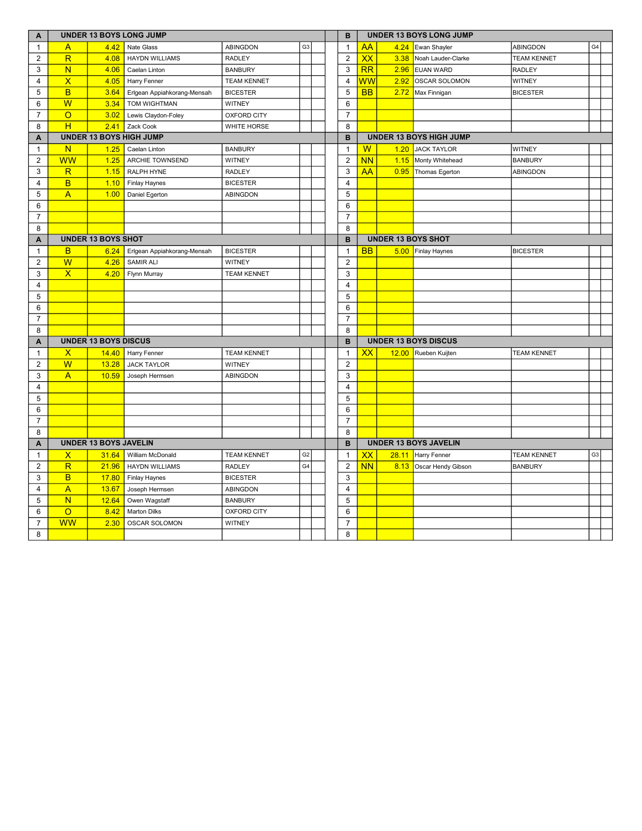| A              | <b>UNDER 13 BOYS LONG JUMP</b> |                              |                             |                    |                |  |  |                |                          |      | <b>UNDER 13 BOYS LONG JUMP</b> |                    |                |
|----------------|--------------------------------|------------------------------|-----------------------------|--------------------|----------------|--|--|----------------|--------------------------|------|--------------------------------|--------------------|----------------|
| $\mathbf{1}$   | A                              | 4.42                         | Nate Glass                  | <b>ABINGDON</b>    | G <sub>3</sub> |  |  | $\mathbf{1}$   | <b>AA</b>                | 4.24 | Ewan Shayler                   | ABINGDON           | G4             |
| $\overline{2}$ | $\overline{\mathsf{R}}$        | 4.08                         | <b>HAYDN WILLIAMS</b>       | <b>RADLEY</b>      |                |  |  | 2              | XX                       | 3.38 | Noah Lauder-Clarke             | <b>TEAM KENNET</b> |                |
| 3              | N                              | 4.06                         | Caelan Linton               | <b>BANBURY</b>     |                |  |  | 3              | RR                       | 2.96 | <b>EUAN WARD</b>               | <b>RADLEY</b>      |                |
| $\overline{4}$ | $\overline{\mathsf{X}}$        | 4.05                         | Harry Fenner                | <b>TEAM KENNET</b> |                |  |  | 4              | $\overline{\textsf{ww}}$ | 2.92 | OSCAR SOLOMON                  | <b>WITNEY</b>      |                |
| 5              | B                              | 3.64                         | Erlgean Appiahkorang-Mensah | <b>BICESTER</b>    |                |  |  | 5              | <b>BB</b>                | 2.72 | Max Finnigan                   | <b>BICESTER</b>    |                |
| 6              | W                              | 3.34                         | TOM WIGHTMAN                | WITNEY             |                |  |  | 6              |                          |      |                                |                    |                |
| $\overline{7}$ | $\overline{O}$                 | 3.02                         | Lewis Claydon-Foley         | <b>OXFORD CITY</b> |                |  |  | $\overline{7}$ |                          |      |                                |                    |                |
| 8              | H                              | 2.41                         | Zack Cook                   | <b>WHITE HORSE</b> |                |  |  | 8              |                          |      |                                |                    |                |
| A              |                                |                              | UNDER 13 BOYS HIGH JUMP     |                    |                |  |  | B              |                          |      | <b>UNDER 13 BOYS HIGH JUMP</b> |                    |                |
| $\mathbf{1}$   | $\mathsf{N}$                   | 1.25                         | Caelan Linton               | <b>BANBURY</b>     |                |  |  | 1              | $\sf W$                  | 1.20 | <b>JACK TAYLOR</b>             | <b>WITNEY</b>      |                |
| $\overline{2}$ | <b>WW</b>                      | 1.25                         | ARCHIE TOWNSEND             | WITNEY             |                |  |  | 2              | <b>NN</b>                |      | 1.15 Monty Whitehead           | <b>BANBURY</b>     |                |
| 3              | $\overline{\mathsf{R}}$        | 1.15                         | RALPH HYNE                  | <b>RADLEY</b>      |                |  |  | 3              | <b>AA</b>                | 0.95 | Thomas Egerton                 | ABINGDON           |                |
| 4              | B                              | 1.10                         | Finlay Haynes               | <b>BICESTER</b>    |                |  |  | 4              |                          |      |                                |                    |                |
| 5              | $\overline{A}$                 | 1.00                         | Daniel Egerton              | ABINGDON           |                |  |  | 5              |                          |      |                                |                    |                |
| 6              |                                |                              |                             |                    |                |  |  | 6              |                          |      |                                |                    |                |
| $\overline{7}$ |                                |                              |                             |                    |                |  |  | $\overline{7}$ |                          |      |                                |                    |                |
| 8              |                                |                              |                             |                    |                |  |  | 8              |                          |      |                                |                    |                |
| A              | <b>UNDER 13 BOYS SHOT</b>      |                              |                             |                    |                |  |  | B              |                          |      | <b>UNDER 13 BOYS SHOT</b>      |                    |                |
| $\mathbf{1}$   | B                              | 6.24                         | Erlgean Appiahkorang-Mensah | <b>BICESTER</b>    |                |  |  | $\mathbf{1}$   | <b>BB</b>                |      | 5.00 Finlay Haynes             | <b>BICESTER</b>    |                |
| $\overline{2}$ | W                              | 4.26                         | <b>SAMIR ALI</b>            | <b>WITNEY</b>      |                |  |  | $\overline{2}$ |                          |      |                                |                    |                |
| 3              | $\overline{\mathsf{x}}$        | 4.20                         | Flynn Murray                | <b>TEAM KENNET</b> |                |  |  | 3              |                          |      |                                |                    |                |
| 4              |                                |                              |                             |                    |                |  |  | 4              |                          |      |                                |                    |                |
| 5              |                                |                              |                             |                    |                |  |  | 5              |                          |      |                                |                    |                |
| 6              |                                |                              |                             |                    |                |  |  | 6              |                          |      |                                |                    |                |
| $\overline{7}$ |                                |                              |                             |                    |                |  |  | $\overline{7}$ |                          |      |                                |                    |                |
| 8              |                                |                              |                             |                    |                |  |  | 8              |                          |      |                                |                    |                |
| A              |                                | <b>UNDER 13 BOYS DISCUS</b>  |                             |                    |                |  |  | B              |                          |      | <b>UNDER 13 BOYS DISCUS</b>    |                    |                |
| $\mathbf{1}$   | $\mathsf{x}$                   | 14.40                        | Harry Fenner                | <b>TEAM KENNET</b> |                |  |  | $\mathbf{1}$   | XX                       |      | 12.00 Rueben Kuijten           | <b>TEAM KENNET</b> |                |
| $\overline{2}$ | $\overline{\mathsf{w}}$        | 13.28                        | <b>JACK TAYLOR</b>          | WITNEY             |                |  |  | 2              |                          |      |                                |                    |                |
| 3              | $\overline{A}$                 | 10.59                        | Joseph Hermsen              | <b>ABINGDON</b>    |                |  |  | 3              |                          |      |                                |                    |                |
| $\overline{4}$ |                                |                              |                             |                    |                |  |  | 4              |                          |      |                                |                    |                |
| 5              |                                |                              |                             |                    |                |  |  | 5              |                          |      |                                |                    |                |
| 6              |                                |                              |                             |                    |                |  |  | 6              |                          |      |                                |                    |                |
| $\overline{7}$ |                                |                              |                             |                    |                |  |  | $\overline{7}$ |                          |      |                                |                    |                |
| 8              |                                |                              |                             |                    |                |  |  | 8              |                          |      |                                |                    |                |
| A              |                                | <b>UNDER 13 BOYS JAVELIN</b> |                             |                    |                |  |  | B              |                          |      | <b>UNDER 13 BOYS JAVELIN</b>   |                    |                |
| $\mathbf{1}$   | X                              | 31.64                        | William McDonald            | <b>TEAM KENNET</b> | G <sub>2</sub> |  |  | $\mathbf{1}$   | XX                       |      | 28.11 Harry Fenner             | <b>TEAM KENNET</b> | G <sub>3</sub> |
| $\overline{2}$ | R                              | 21.96                        | <b>HAYDN WILLIAMS</b>       | <b>RADLEY</b>      | G4             |  |  | $\overline{c}$ | <b>NN</b>                |      | 8.13 Oscar Hendy Gibson        | <b>BANBURY</b>     |                |
| 3              | B                              | 17.80                        | Finlay Haynes               | <b>BICESTER</b>    |                |  |  | 3              |                          |      |                                |                    |                |
| 4              | $\overline{A}$                 | 13.67                        | Joseph Hermsen              | ABINGDON           |                |  |  | 4              |                          |      |                                |                    |                |
| 5              | $\overline{\mathsf{N}}$        | 12.64                        | Owen Wagstaff               | <b>BANBURY</b>     |                |  |  | 5              |                          |      |                                |                    |                |
| 6              | $\overline{O}$                 | 8.42                         | <b>Marton Dilks</b>         | <b>OXFORD CITY</b> |                |  |  | 6              |                          |      |                                |                    |                |
| $\overline{7}$ | <b>WW</b>                      | 2.30                         | OSCAR SOLOMON               | WITNEY             |                |  |  | $\overline{7}$ |                          |      |                                |                    |                |
| 8              |                                |                              |                             |                    |                |  |  | 8              |                          |      |                                |                    |                |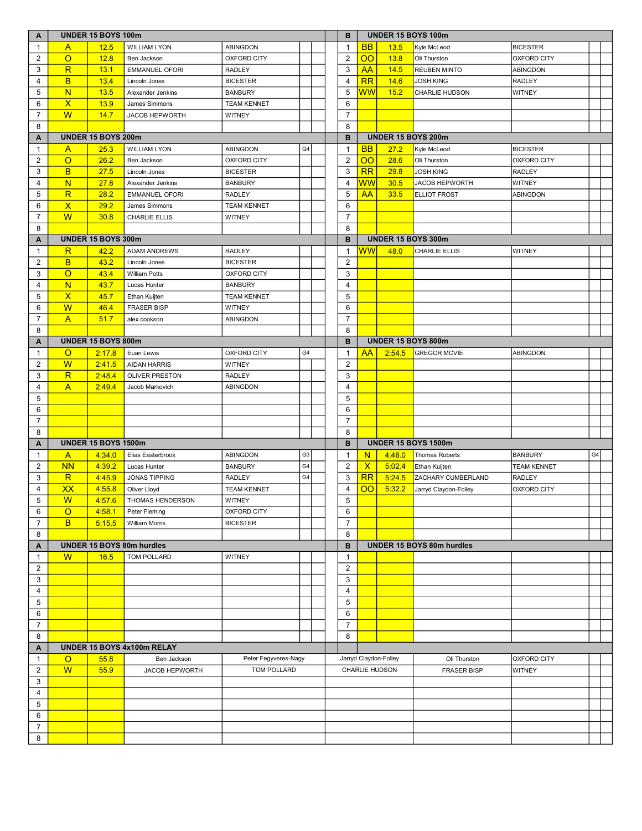| A              | <b>UNDER 15 BOYS 100m</b> |                            |                                  |                      |                |  |  | в              |                 |                       | UNDER 15 BOYS 100m         |                    |    |  |
|----------------|---------------------------|----------------------------|----------------------------------|----------------------|----------------|--|--|----------------|-----------------|-----------------------|----------------------------|--------------------|----|--|
| $\mathbf{1}$   | A                         | 12.5                       | <b>WILLIAM LYON</b>              | ABINGDON             |                |  |  | $\mathbf{1}$   | <b>BB</b>       | 13.5                  | Kyle McLeod                | <b>BICESTER</b>    |    |  |
| $\overline{2}$ | $\circ$                   | 12.8                       | Ben Jackson                      | OXFORD CITY          |                |  |  | $\overline{2}$ | $\overline{O}O$ | 13.8                  | Oli Thurston               | <b>OXFORD CITY</b> |    |  |
| 3              | $\overline{\mathsf{R}}$   | 13.1                       | <b>EMMANUEL OFORI</b>            | <b>RADLEY</b>        |                |  |  | 3              | AA              | 14.5                  | <b>REUBEN MINTO</b>        | ABINGDON           |    |  |
| $\overline{4}$ | B                         | 13.4                       | Lincoln Jones                    | <b>BICESTER</b>      |                |  |  | 4              | RR              | 14.6                  | <b>JOSH KING</b>           | RADLEY             |    |  |
| 5              | N                         | 13.5                       | Alexander Jenkins                | <b>BANBURY</b>       |                |  |  | 5              | <b>WW</b>       | 15.2                  | <b>CHARLIE HUDSON</b>      | <b>WITNEY</b>      |    |  |
| 6              | $\mathsf{X}$              | 13.9                       | James Simmons                    | <b>TEAM KENNET</b>   |                |  |  | 6              |                 |                       |                            |                    |    |  |
| $\overline{7}$ | W                         | 14.7                       | JACOB HEPWORTH                   | WITNEY               |                |  |  | $\overline{7}$ |                 |                       |                            |                    |    |  |
| 8              |                           |                            |                                  |                      |                |  |  | 8              |                 |                       |                            |                    |    |  |
| A              |                           | <b>UNDER 15 BOYS 200m</b>  |                                  |                      |                |  |  | B              |                 |                       | <b>UNDER 15 BOYS 200m</b>  |                    |    |  |
| $\mathbf{1}$   | $\mathsf{A}$              | 25.3                       | <b>WILLIAM LYON</b>              | ABINGDON             | G4             |  |  | 1              | <b>BB</b>       | 27.2                  | Kyle McLeod                | <b>BICESTER</b>    |    |  |
| 2              | $\circ$                   | 26.2                       | Ben Jackson                      | OXFORD CITY          |                |  |  | $\overline{c}$ | $\overline{O}O$ | 28.6                  | Oli Thurston               | <b>OXFORD CITY</b> |    |  |
| 3              | B                         | 27.5                       | Lincoln Jones                    | <b>BICESTER</b>      |                |  |  | 3              | RR              | 29.8                  | <b>JOSH KING</b>           | RADLEY             |    |  |
| 4              | N                         | 27.8                       | Alexander Jenkins                | <b>BANBURY</b>       |                |  |  | 4              | <b>WW</b>       | 30.5                  | <b>JACOB HEPWORTH</b>      | <b>WITNEY</b>      |    |  |
| 5              | R                         | 28.2                       | <b>EMMANUEL OFORI</b>            | <b>RADLEY</b>        |                |  |  | 5              | AA              | 33.5                  | <b>ELLIOT FROST</b>        | ABINGDON           |    |  |
| 6              | $\overline{\mathsf{x}}$   | 29.2                       | James Simmons                    | <b>TEAM KENNET</b>   |                |  |  | 6              |                 |                       |                            |                    |    |  |
| $\overline{7}$ | W                         | 30.8                       | <b>CHARLIE ELLIS</b>             | WITNEY               |                |  |  | $\overline{7}$ |                 |                       |                            |                    |    |  |
| 8              |                           |                            |                                  |                      |                |  |  | 8              |                 |                       |                            |                    |    |  |
| A              |                           | <b>UNDER 15 BOYS 300m</b>  |                                  |                      |                |  |  | в              |                 |                       | UNDER 15 BOYS 300m         |                    |    |  |
| $\mathbf{1}$   | $\mathsf R$               | 42.2                       | <b>ADAM ANDREWS</b>              | <b>RADLEY</b>        |                |  |  | 1              | <b>WW</b>       | 48.0                  | CHARLIE ELLIS              | WITNEY             |    |  |
| 2              | B                         | 43.2                       | Lincoln Jones                    | <b>BICESTER</b>      |                |  |  | $\mathbf{2}$   |                 |                       |                            |                    |    |  |
| 3              | $\circ$                   | 43.4                       | <b>William Potts</b>             | OXFORD CITY          |                |  |  | 3              |                 |                       |                            |                    |    |  |
| 4              | N                         | 43.7                       | Lucas Hunter                     | <b>BANBURY</b>       |                |  |  | 4              |                 |                       |                            |                    |    |  |
| 5              | $\mathsf{X}$              | 45.7                       | Ethan Kuijten                    | <b>TEAM KENNET</b>   |                |  |  | 5              |                 |                       |                            |                    |    |  |
| 6              | W                         | 46.4                       | <b>FRASER BISP</b>               | WITNEY               |                |  |  | 6              |                 |                       |                            |                    |    |  |
| $\overline{7}$ | $\overline{A}$            | 51.7                       | alex cookson                     | <b>ABINGDON</b>      |                |  |  | $\overline{7}$ |                 |                       |                            |                    |    |  |
| 8              |                           |                            |                                  |                      |                |  |  | 8              |                 |                       |                            |                    |    |  |
| A              |                           | UNDER 15 BOYS 800m         |                                  |                      |                |  |  | B              |                 |                       | UNDER 15 BOYS 800m         |                    |    |  |
| $\mathbf{1}$   | $\circ$                   | 2:17.8                     | Euan Lewis                       | OXFORD CITY          | G4             |  |  | 1              | AA              | 2:54.5                | <b>GREGOR MCVIE</b>        | ABINGDON           |    |  |
| 2              | W                         | 2:41.5                     | <b>AIDAN HARRIS</b>              | WITNEY               |                |  |  | $\overline{2}$ |                 |                       |                            |                    |    |  |
| 3              | $\overline{\mathsf{R}}$   | 2:48.4                     | <b>OLIVER PRESTON</b>            | <b>RADLEY</b>        |                |  |  | 3              |                 |                       |                            |                    |    |  |
| 4              | $\overline{A}$            | 2:49.4                     | Jacob Markovich                  | <b>ABINGDON</b>      |                |  |  | 4              |                 |                       |                            |                    |    |  |
| 5              |                           |                            |                                  |                      |                |  |  | 5              |                 |                       |                            |                    |    |  |
| 6              |                           |                            |                                  |                      |                |  |  | 6              |                 |                       |                            |                    |    |  |
| $\overline{7}$ |                           |                            |                                  |                      |                |  |  | $\overline{7}$ |                 |                       |                            |                    |    |  |
| 8              |                           |                            |                                  |                      |                |  |  | 8              |                 |                       |                            |                    |    |  |
| A              |                           | <b>UNDER 15 BOYS 1500m</b> |                                  |                      |                |  |  | B              |                 |                       | <b>UNDER 15 BOYS 1500m</b> |                    |    |  |
| $\mathbf{1}$   | $\mathsf{A}$              | 4:34.0                     | Elias Easterbrook                | ABINGDON             | G3             |  |  | $\mathbf{1}$   | N               | 4:46.0                | Thomas Roberts             | <b>BANBURY</b>     | G4 |  |
| 2              | <b>NN</b>                 | 4:39.2                     | Lucas Hunter                     | <b>BANBURY</b>       | G <sub>4</sub> |  |  | $\mathbf{2}$   | $\mathsf{X}$    | 5:02.4                | Ethan Kuijten              | <b>TEAM KENNET</b> |    |  |
| 3              | R                         | 4:45.9                     | <b>JONAS TIPPING</b>             | <b>RADLEY</b>        | G <sub>4</sub> |  |  | 3              | RR              | 5:24.5                | <b>ZACHARY CUMBERLAND</b>  | RADLEY             |    |  |
| $\overline{4}$ | <b>XX</b>                 | 4:55.8                     | Oliver Lloyd                     | <b>TEAM KENNET</b>   |                |  |  | 4              | $\overline{O}O$ | 5:32.2                | Jarryd Claydon-Folley      | <b>OXFORD CITY</b> |    |  |
| $\,$ 5 $\,$    | $\overline{\mathsf{W}}$   | 4:57.6                     | THOMAS HENDERSON                 | WITNEY               |                |  |  | $\,$ 5 $\,$    |                 |                       |                            |                    |    |  |
| 6              | $\circ$                   | 4:58.1                     | Peter Fleming                    | OXFORD CITY          |                |  |  | 6              |                 |                       |                            |                    |    |  |
| $\overline{7}$ | B                         | 5:15.5                     | <b>William Morris</b>            | <b>BICESTER</b>      |                |  |  | $\overline{7}$ |                 |                       |                            |                    |    |  |
| 8              |                           |                            |                                  |                      |                |  |  | 8              |                 |                       |                            |                    |    |  |
| A              |                           |                            | <b>UNDER 15 BOYS 80m hurdles</b> |                      |                |  |  | В              |                 |                       | UNDER 15 BOYS 80m hurdles  |                    |    |  |
| $\mathbf{1}$   | W                         | 16.5                       | TOM POLLARD                      | WITNEY               |                |  |  | $\mathbf{1}$   |                 |                       |                            |                    |    |  |
| $\overline{2}$ |                           |                            |                                  |                      |                |  |  | 2              |                 |                       |                            |                    |    |  |
| 3              |                           |                            |                                  |                      |                |  |  | 3              |                 |                       |                            |                    |    |  |
| $\overline{4}$ |                           |                            |                                  |                      |                |  |  | $\overline{4}$ |                 |                       |                            |                    |    |  |
| 5              |                           |                            |                                  |                      |                |  |  | 5              |                 |                       |                            |                    |    |  |
| 6              |                           |                            |                                  |                      |                |  |  | 6              |                 |                       |                            |                    |    |  |
| $\overline{7}$ |                           |                            |                                  |                      |                |  |  | $\overline{7}$ |                 |                       |                            |                    |    |  |
| 8              |                           |                            |                                  |                      |                |  |  | 8              |                 |                       |                            |                    |    |  |
| A              |                           |                            | UNDER 15 BOYS 4x100m RELAY       |                      |                |  |  |                |                 |                       |                            |                    |    |  |
| $\mathbf{1}$   | $\circ$                   | 55.8                       | Ben Jackson                      | Peter Fegyveres-Nagy |                |  |  |                |                 | Jarryd Claydon-Folley | Oli Thurston               | OXFORD CITY        |    |  |
| 2              | W                         | 55.9                       | JACOB HEPWORTH                   | TOM POLLARD          |                |  |  |                |                 | CHARLIE HUDSON        | <b>FRASER BISP</b>         | <b>WITNEY</b>      |    |  |
| 3              |                           |                            |                                  |                      |                |  |  |                |                 |                       |                            |                    |    |  |
| 4              |                           |                            |                                  |                      |                |  |  |                |                 |                       |                            |                    |    |  |
| 5              |                           |                            |                                  |                      |                |  |  |                |                 |                       |                            |                    |    |  |
| 6              |                           |                            |                                  |                      |                |  |  |                |                 |                       |                            |                    |    |  |
| $\overline{7}$ |                           |                            |                                  |                      |                |  |  |                |                 |                       |                            |                    |    |  |
| 8              |                           |                            |                                  |                      |                |  |  |                |                 |                       |                            |                    |    |  |
|                |                           |                            |                                  |                      |                |  |  |                |                 |                       |                            |                    |    |  |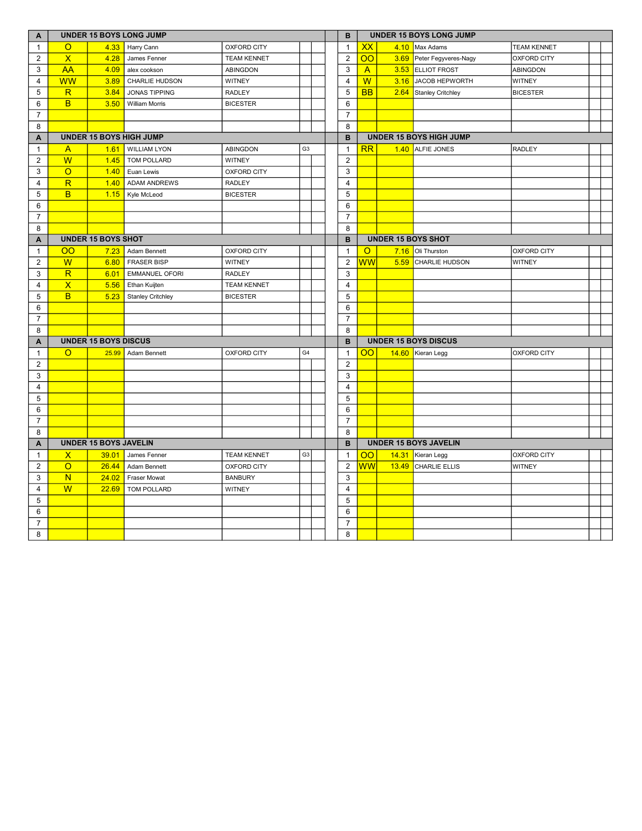| A                       | <b>UNDER 15 BOYS LONG JUMP</b> |                              |                          |                    |                |  |  |                         |                                     |                             | <b>UNDER 15 BOYS LONG JUMP</b> |                    |  |
|-------------------------|--------------------------------|------------------------------|--------------------------|--------------------|----------------|--|--|-------------------------|-------------------------------------|-----------------------------|--------------------------------|--------------------|--|
| $\mathbf{1}$            | $\overline{O}$                 | 4.33                         | Harry Cann               | OXFORD CITY        |                |  |  | $\mathbf{1}$            | XX                                  | 4.10                        | Max Adams                      | <b>TEAM KENNET</b> |  |
| 2                       | $\overline{\mathsf{X}}$        | 4.28                         | James Fenner             | <b>TEAM KENNET</b> |                |  |  | $\overline{2}$          | $\overline{O}O$                     | 3.69                        | Peter Fegyveres-Nagy           | <b>OXFORD CITY</b> |  |
| 3                       | AA                             | 4.09                         | alex cookson             | ABINGDON           |                |  |  | 3                       | $\overline{A}$                      | 3.53                        | <b>ELLIOT FROST</b>            | <b>ABINGDON</b>    |  |
| $\overline{\mathbf{4}}$ | WW                             | 3.89                         | CHARLIE HUDSON           | <b>WITNEY</b>      |                |  |  | 4                       | $\overline{\mathsf{W}}$             | 3.16                        | JACOB HEPWORTH                 | WITNEY             |  |
| 5                       | $\overline{\mathsf{R}}$        | 3.84                         | <b>JONAS TIPPING</b>     | <b>RADLEY</b>      |                |  |  | 5                       | <b>BB</b>                           | 2.64                        | Stanley Critchley              | <b>BICESTER</b>    |  |
| 6                       | B                              | 3.50                         | <b>William Morris</b>    | <b>BICESTER</b>    |                |  |  | 6                       |                                     |                             |                                |                    |  |
| $\overline{7}$          |                                |                              |                          |                    |                |  |  | $\overline{7}$          |                                     |                             |                                |                    |  |
| 8                       |                                |                              |                          |                    |                |  |  | 8                       |                                     |                             |                                |                    |  |
| A                       |                                |                              | UNDER 15 BOYS HIGH JUMP  |                    |                |  |  | B                       |                                     |                             | <b>UNDER 15 BOYS HIGH JUMP</b> |                    |  |
| $\mathbf{1}$            | $\mathsf{A}$                   | 1.61                         | <b>WILLIAM LYON</b>      | <b>ABINGDON</b>    | G <sub>3</sub> |  |  | $\mathbf{1}$            | RR                                  |                             | 1.40 ALFIE JONES               | <b>RADLEY</b>      |  |
| $\mathbf{2}$            | W                              | 1.45                         | TOM POLLARD              | <b>WITNEY</b>      |                |  |  | 2                       |                                     |                             |                                |                    |  |
| 3                       | $\overline{O}$                 | 1.40                         | Euan Lewis               | <b>OXFORD CITY</b> |                |  |  | 3                       |                                     |                             |                                |                    |  |
| 4                       | $\mathsf{R}$                   | 1.40                         | <b>ADAM ANDREWS</b>      | <b>RADLEY</b>      |                |  |  | $\overline{4}$          |                                     |                             |                                |                    |  |
| 5                       | <sub>B</sub>                   | 1.15                         | Kyle McLeod              | <b>BICESTER</b>    |                |  |  | 5                       |                                     |                             |                                |                    |  |
| 6                       |                                |                              |                          |                    |                |  |  | 6                       |                                     |                             |                                |                    |  |
| $\overline{7}$          |                                |                              |                          |                    |                |  |  | $\overline{7}$          |                                     |                             |                                |                    |  |
| 8                       |                                |                              |                          |                    |                |  |  | 8                       |                                     |                             |                                |                    |  |
| Α                       | <b>UNDER 15 BOYS SHOT</b>      |                              |                          |                    |                |  |  | B                       |                                     |                             | <b>UNDER 15 BOYS SHOT</b>      |                    |  |
| $\mathbf{1}$            | $\overline{O}O$                | 7.23                         | Adam Bennett             | <b>OXFORD CITY</b> |                |  |  | $\mathbf{1}$            | $\overline{O}$                      | 7.16                        | Oli Thurston                   | <b>OXFORD CITY</b> |  |
| 2                       | $\overline{W}$                 | 6.80                         | <b>FRASER BISP</b>       | <b>WITNEY</b>      |                |  |  | $\mathbf{2}$            | ${\overline{\mathsf{w}}\mathsf{w}}$ | 5.59                        | CHARLIE HUDSON                 | WITNEY             |  |
| 3                       | $\overline{\mathsf{R}}$        | 6.01                         | <b>EMMANUEL OFORI</b>    | <b>RADLEY</b>      |                |  |  | 3                       |                                     |                             |                                |                    |  |
| 4                       | $\overline{\mathsf{x}}$        | 5.56                         | Ethan Kuijten            | <b>TEAM KENNET</b> |                |  |  | $\overline{4}$          |                                     |                             |                                |                    |  |
| 5                       | B                              | 5.23                         | <b>Stanley Critchley</b> | <b>BICESTER</b>    |                |  |  | 5                       |                                     |                             |                                |                    |  |
| 6                       |                                |                              |                          |                    |                |  |  | 6                       |                                     |                             |                                |                    |  |
| $\overline{7}$          |                                |                              |                          |                    |                |  |  | $\overline{7}$          |                                     |                             |                                |                    |  |
| 8                       |                                |                              |                          |                    |                |  |  | 8                       |                                     |                             |                                |                    |  |
| A                       |                                | <b>UNDER 15 BOYS DISCUS</b>  |                          |                    |                |  |  | B                       |                                     | <b>UNDER 15 BOYS DISCUS</b> |                                |                    |  |
| $\mathbf{1}$            | $\circ$                        | 25.99                        | Adam Bennett             | <b>OXFORD CITY</b> | G <sub>4</sub> |  |  | $\mathbf{1}$            | $\overline{O}O$                     |                             | 14.60 Kieran Legg              | <b>OXFORD CITY</b> |  |
| $\overline{2}$          |                                |                              |                          |                    |                |  |  | $\overline{c}$          |                                     |                             |                                |                    |  |
| 3                       |                                |                              |                          |                    |                |  |  | 3                       |                                     |                             |                                |                    |  |
| $\overline{4}$          |                                |                              |                          |                    |                |  |  | $\overline{4}$          |                                     |                             |                                |                    |  |
| 5                       |                                |                              |                          |                    |                |  |  | 5                       |                                     |                             |                                |                    |  |
| 6                       |                                |                              |                          |                    |                |  |  | 6                       |                                     |                             |                                |                    |  |
| $\overline{7}$          |                                |                              |                          |                    |                |  |  | $\overline{7}$          |                                     |                             |                                |                    |  |
| 8                       |                                |                              |                          |                    |                |  |  | 8                       |                                     |                             |                                |                    |  |
| A                       |                                | <b>UNDER 15 BOYS JAVELIN</b> |                          |                    |                |  |  | B                       |                                     |                             | <b>UNDER 15 BOYS JAVELIN</b>   |                    |  |
| $\mathbf{1}$            | $\mathsf{X}$                   | 39.01                        | James Fenner             | <b>TEAM KENNET</b> | G <sub>3</sub> |  |  | $\mathbf{1}$            | $\overline{O}O$                     |                             | 14.31 Kieran Legg              | <b>OXFORD CITY</b> |  |
| $\overline{2}$          | $\circ$                        | 26.44                        | Adam Bennett             | <b>OXFORD CITY</b> |                |  |  | $\overline{2}$          | WW                                  | 13.49                       | CHARLIE ELLIS                  | WITNEY             |  |
| 3                       | N                              | 24.02                        | Fraser Mowat             | <b>BANBURY</b>     |                |  |  | 3                       |                                     |                             |                                |                    |  |
| 4                       | W                              | 22.69                        | TOM POLLARD              | <b>WITNEY</b>      |                |  |  | $\overline{\mathbf{4}}$ |                                     |                             |                                |                    |  |
| 5                       |                                |                              |                          |                    |                |  |  | 5                       |                                     |                             |                                |                    |  |
| 6                       |                                |                              |                          |                    |                |  |  | 6                       |                                     |                             |                                |                    |  |
| $\overline{7}$          |                                |                              |                          |                    |                |  |  | $\overline{7}$          |                                     |                             |                                |                    |  |
| 8                       |                                |                              |                          |                    |                |  |  | 8                       |                                     |                             |                                |                    |  |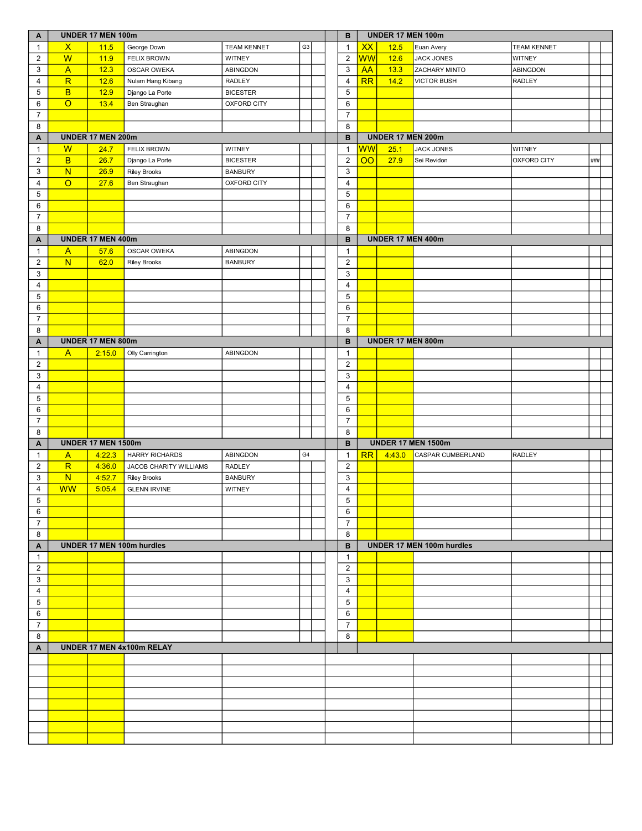| A              | UNDER 17 MEN 100m       |                           |                                  |                    |                |  |  | В              |                           | UNDER 17 MEN 100m |                           |                    |     |  |  |  |
|----------------|-------------------------|---------------------------|----------------------------------|--------------------|----------------|--|--|----------------|---------------------------|-------------------|---------------------------|--------------------|-----|--|--|--|
| $\mathbf{1}$   | $\mathsf{x}$            | 11.5                      | George Down                      | <b>TEAM KENNET</b> | G <sub>3</sub> |  |  | $\mathbf{1}$   | <b>XX</b>                 | 12.5              | Euan Avery                | <b>TEAM KENNET</b> |     |  |  |  |
| $\overline{2}$ | W                       | 11.9                      | <b>FELIX BROWN</b>               | <b>WITNEY</b>      |                |  |  | $\overline{2}$ | <mark>WW</mark>           | 12.6              | JACK JONES                | <b>WITNEY</b>      |     |  |  |  |
| 3              | $\mathsf{A}$            | 12.3                      | <b>OSCAR OWEKA</b>               | ABINGDON           |                |  |  | $\mathbf{3}$   | <b>AA</b>                 | 13.3              | <b>ZACHARY MINTO</b>      | ABINGDON           |     |  |  |  |
| $\overline{4}$ | $\mathsf{R}$            | 12.6                      | Nulam Hang Kibang                | <b>RADLEY</b>      |                |  |  | 4              | RR                        | 14.2              | <b>VICTOR BUSH</b>        | <b>RADLEY</b>      |     |  |  |  |
| 5              | $\overline{B}$          | 12.9                      | Django La Porte                  | <b>BICESTER</b>    |                |  |  | 5              |                           |                   |                           |                    |     |  |  |  |
| 6              | $\overline{O}$          | 13.4                      | Ben Straughan                    | <b>OXFORD CITY</b> |                |  |  | 6              |                           |                   |                           |                    |     |  |  |  |
| $\overline{7}$ |                         |                           |                                  |                    |                |  |  | $\overline{7}$ |                           |                   |                           |                    |     |  |  |  |
| 8              |                         |                           |                                  |                    |                |  |  | 8              |                           |                   |                           |                    |     |  |  |  |
| A              |                         | <b>UNDER 17 MEN 200m</b>  |                                  |                    |                |  |  | В              |                           | UNDER 17 MEN 200m |                           |                    |     |  |  |  |
| $\mathbf{1}$   | W                       | 24.7                      | <b>FELIX BROWN</b>               | WITNEY             |                |  |  | $\mathbf{1}$   | <b>WW</b>                 | 25.1              | <b>JACK JONES</b>         | WITNEY             |     |  |  |  |
| $\overline{2}$ | B                       | 26.7                      | Django La Porte                  | <b>BICESTER</b>    |                |  |  | 2              | $\overline{O}O$           | 27.9              | Sei Revidon               | <b>OXFORD CITY</b> | ### |  |  |  |
| 3              | $\overline{\mathsf{N}}$ | 26.9                      | <b>Riley Brooks</b>              | <b>BANBURY</b>     |                |  |  | $\mathsf 3$    |                           |                   |                           |                    |     |  |  |  |
| 4              | $\overline{O}$          | 27.6                      | Ben Straughan                    | OXFORD CITY        |                |  |  | $\overline{4}$ |                           |                   |                           |                    |     |  |  |  |
| 5              |                         |                           |                                  |                    |                |  |  | 5              |                           |                   |                           |                    |     |  |  |  |
| 6              |                         |                           |                                  |                    |                |  |  | 6              |                           |                   |                           |                    |     |  |  |  |
| $\overline{7}$ |                         |                           |                                  |                    |                |  |  | $\overline{7}$ |                           |                   |                           |                    |     |  |  |  |
| 8              |                         |                           |                                  |                    |                |  |  | 8              |                           |                   |                           |                    |     |  |  |  |
| A              |                         | <b>UNDER 17 MEN 400m</b>  |                                  |                    |                |  |  | B              |                           | UNDER 17 MEN 400m |                           |                    |     |  |  |  |
| $\mathbf{1}$   | $\mathsf{A}$            | 57.6                      | OSCAR OWEKA                      | ABINGDON           |                |  |  | $\mathbf{1}$   |                           |                   |                           |                    |     |  |  |  |
| $\overline{2}$ | $\overline{\mathsf{N}}$ | 62.0                      | <b>Riley Brooks</b>              | <b>BANBURY</b>     |                |  |  | $\overline{2}$ |                           |                   |                           |                    |     |  |  |  |
| 3              |                         |                           |                                  |                    |                |  |  | 3              |                           |                   |                           |                    |     |  |  |  |
| 4              |                         |                           |                                  |                    |                |  |  | 4              |                           |                   |                           |                    |     |  |  |  |
| $\,$ 5 $\,$    |                         |                           |                                  |                    |                |  |  | 5              |                           |                   |                           |                    |     |  |  |  |
| 6              |                         |                           |                                  |                    |                |  |  | 6              |                           |                   |                           |                    |     |  |  |  |
| $\overline{7}$ |                         |                           |                                  |                    |                |  |  | $\overline{7}$ |                           |                   |                           |                    |     |  |  |  |
| 8              |                         |                           |                                  |                    |                |  |  | 8              |                           |                   |                           |                    |     |  |  |  |
| A              |                         | UNDER 17 MEN 800m         |                                  |                    |                |  |  | B              |                           | UNDER 17 MEN 800m |                           |                    |     |  |  |  |
| $\mathbf{1}$   | $\mathsf{A}$            | 2:15.0                    | Olly Carrington                  | ABINGDON           |                |  |  | $\mathbf{1}$   |                           |                   |                           |                    |     |  |  |  |
| 2              |                         |                           |                                  |                    |                |  |  | $\overline{2}$ |                           |                   |                           |                    |     |  |  |  |
| 3              |                         |                           |                                  |                    |                |  |  | 3              |                           |                   |                           |                    |     |  |  |  |
| $\overline{4}$ |                         |                           |                                  |                    |                |  |  | 4              |                           |                   |                           |                    |     |  |  |  |
| 5              |                         |                           |                                  |                    |                |  |  | 5              |                           |                   |                           |                    |     |  |  |  |
| $\,6\,$        |                         |                           |                                  |                    |                |  |  | $\,6\,$        |                           |                   |                           |                    |     |  |  |  |
| $\overline{7}$ |                         |                           |                                  |                    |                |  |  | $\overline{7}$ |                           |                   |                           |                    |     |  |  |  |
| 8              |                         |                           |                                  |                    |                |  |  | 8              |                           |                   |                           |                    |     |  |  |  |
| A              |                         | <b>UNDER 17 MEN 1500m</b> |                                  |                    |                |  |  | B              | <b>UNDER 17 MEN 1500m</b> |                   |                           |                    |     |  |  |  |
| $\mathbf{1}$   | $\mathsf{A}$            | 4:22.3                    | <b>HARRY RICHARDS</b>            | ABINGDON           | G4             |  |  | $\mathbf{1}$   | RR                        | 4:43.0            | CASPAR CUMBERLAND         | <b>RADLEY</b>      |     |  |  |  |
| $\overline{2}$ | $\overline{\mathsf{R}}$ | 4:36.0                    | JACOB CHARITY WILLIAMS           | <b>RADLEY</b>      |                |  |  | $\overline{2}$ |                           |                   |                           |                    |     |  |  |  |
| 3              | N                       | 4:52.7                    | <b>Riley Brooks</b>              | <b>BANBURY</b>     |                |  |  | 3              |                           |                   |                           |                    |     |  |  |  |
| $\overline{4}$ | <b>WW</b>               | 5:05.4                    | <b>GLENN IRVINE</b>              | <b>WITNEY</b>      |                |  |  | 4              |                           |                   |                           |                    |     |  |  |  |
| $\,$ 5 $\,$    |                         |                           |                                  |                    |                |  |  | 5              |                           |                   |                           |                    |     |  |  |  |
| 6              |                         |                           |                                  |                    |                |  |  | 6              |                           |                   |                           |                    |     |  |  |  |
| $\overline{7}$ |                         |                           |                                  |                    |                |  |  | $\overline{7}$ |                           |                   |                           |                    |     |  |  |  |
| 8              |                         |                           |                                  |                    |                |  |  | 8              |                           |                   |                           |                    |     |  |  |  |
| Α              |                         |                           | <b>UNDER 17 MEN 100m hurdles</b> |                    |                |  |  | в              |                           |                   | UNDER 17 MEN 100m hurdles |                    |     |  |  |  |
| $\mathbf{1}$   |                         |                           |                                  |                    |                |  |  | $\mathbf{1}$   |                           |                   |                           |                    |     |  |  |  |
| $\overline{2}$ |                         |                           |                                  |                    |                |  |  | $\overline{2}$ |                           |                   |                           |                    |     |  |  |  |
| 3              |                         |                           |                                  |                    |                |  |  | 3              |                           |                   |                           |                    |     |  |  |  |
| $\overline{4}$ |                         |                           |                                  |                    |                |  |  | $\overline{4}$ |                           |                   |                           |                    |     |  |  |  |
| $\overline{5}$ |                         |                           |                                  |                    |                |  |  | 5              |                           |                   |                           |                    |     |  |  |  |
| 6              |                         |                           |                                  |                    |                |  |  | 6              |                           |                   |                           |                    |     |  |  |  |
| $\overline{7}$ |                         |                           |                                  |                    |                |  |  | $\overline{7}$ |                           |                   |                           |                    |     |  |  |  |
| 8              |                         |                           |                                  |                    |                |  |  | 8              |                           |                   |                           |                    |     |  |  |  |
| A              |                         |                           | UNDER 17 MEN 4x100m RELAY        |                    |                |  |  |                |                           |                   |                           |                    |     |  |  |  |
|                |                         |                           |                                  |                    |                |  |  |                |                           |                   |                           |                    |     |  |  |  |
|                |                         |                           |                                  |                    |                |  |  |                |                           |                   |                           |                    |     |  |  |  |
|                |                         |                           |                                  |                    |                |  |  |                |                           |                   |                           |                    |     |  |  |  |
|                |                         |                           |                                  |                    |                |  |  |                |                           |                   |                           |                    |     |  |  |  |
|                |                         |                           |                                  |                    |                |  |  |                |                           |                   |                           |                    |     |  |  |  |
|                |                         |                           |                                  |                    |                |  |  |                |                           |                   |                           |                    |     |  |  |  |
|                |                         |                           |                                  |                    |                |  |  |                |                           |                   |                           |                    |     |  |  |  |
|                |                         |                           |                                  |                    |                |  |  |                |                           |                   |                           |                    |     |  |  |  |